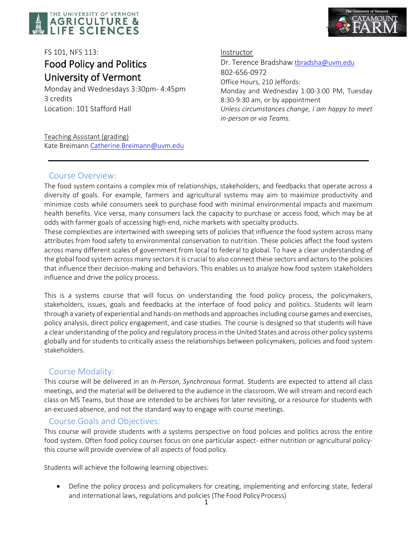



# FS 101, NFS 113: Food Policy and Politics University of Vermont<br>Monday and Wednesdays 3:30pm- 4:45pm

3 credits Location: 101 Stafford Hall **Instructor** 

Dr. Terence Bradshaw [tbradsha@uvm.edu](mailto:tbradsha@uvm.edu) 802-656-0972 Office Hours, 210 Jeffords: Monday and Wednesday 1:00-3:00 PM, Tuesday 8:30-9:30 am, or by appointment *Unless circumstances change, I am happy to meet in-person or via Teams.*

Teaching Assistant (grading) Kate Breimann [Catherine.Breimann@uvm.edu](mailto:Catherine.Breimann@uvm.edu)

# Course Overview:

The food system contains a complex mix of relationships, stakeholders, and feedbacks that operate across a diversity of goals. For example, farmers and agricultural systems may aim to maximize productivity and minimize costs while consumers seek to purchase food with minimal environmental impacts and maximum health benefits. Vice versa, many consumers lack the capacity to purchase or access food, which may be at odds with farmer goals of accessing high-end, niche markets with specialty products.

These complexities are intertwined with sweeping sets of policies that influence the food system across many attributes from food safety to environmental conservation to nutrition. These policies affect the food system across many different scales of government from local to federal to global. To have a clear understanding of the global food system across many sectors it is crucial to also connect these sectors and actors to the policies that influence their decision-making and behaviors. This enables us to analyze how food system stakeholders influence and drive the policy process.

This is a systems course that will focus on understanding the food policy process, the policymakers, stakeholders, issues, goals and feedbacks at the interface of food policy and politics. Students will learn through a variety of experiential and hands-on methods and approaches including course games and exercises, policy analysis, direct policy engagement, and case studies. The course is designed so that students will have a clear understanding of the policy and regulatory process in the United States and across other policy systems globally and for students to critically assess the relationships between policymakers, policies and food system stakeholders.

# Course Modality:

This course will be delivered in an *In-Person*, *Synchronous* format. Students are expected to attend all class meetings, and the material will be delivered to the audience in the classroom. We will stream and record each class on MS Teams, but those are intended to be archives for later revisiting, or a resource for students with an excused absence, and not the standard way to engage with course meetings.

# Course Goals and Objectives:

This course will provide students with a systems perspective on food policies and politics across the entire food system. Often food policy courses focus on one particular aspect- either nutrition or agricultural policythis course will provide overview of all aspects of food policy.

Students will achieve the following learning objectives:

• Define the policy process and policymakers for creating, implementing and enforcing state, federal and international laws, regulations and policies (The Food Policy Process)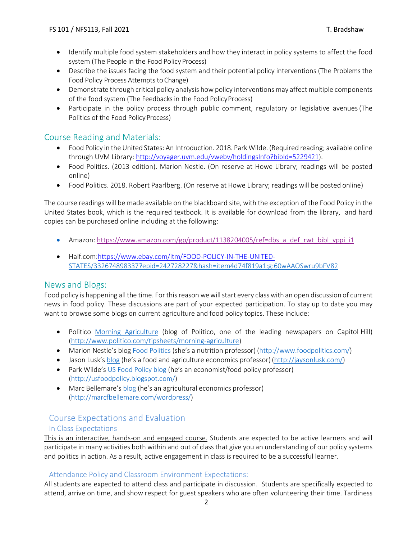- Identify multiple food system stakeholders and how they interact in policy systems to affect the food system (The People in the Food Policy Process)
- Describe the issues facing the food system and their potential policy interventions (The Problems the Food Policy Process Attempts to Change)
- Demonstrate through critical policy analysis how policy interventions may affect multiple components of the food system (The Feedbacks in the Food PolicyProcess)
- Participate in the policy process through public comment, regulatory or legislative avenues(The Politics of the Food Policy Process)

# Course Reading and Materials:

- Food Policy in the United States: An Introduction. 2018. Park Wilde. (Required reading; available online through UVM Library[: http://voyager.uvm.edu/vwebv/holdingsInfo?bibId=5229421\)](http://voyager.uvm.edu/vwebv/holdingsInfo?bibId=5229421).
- Food Politics. (2013 edition). Marion Nestle. (On reserve at Howe Library; readings will be posted online)
- Food Politics. 2018. Robert Paarlberg. (On reserve at Howe Library; readings will be posted online)

The course readings will be made available on the blackboard site, with the exception of the Food Policy in the United States book, which is the required textbook. It is available for download from the library, and hard copies can be purchased online including at the following:

- Amazon: [https://www.amazon.com/gp/product/1138204005/ref=dbs\\_a\\_def\\_rwt\\_bibl\\_vppi\\_i1](https://www.amazon.com/gp/product/1138204005/ref=dbs_a_def_rwt_bibl_vppi_i1)
- Half.com[:https://www.ebay.com/itm/FOOD-POLICY-IN-THE-UNITED-](https://www.ebay.com/itm/FOOD-POLICY-IN-THE-UNITED-)[STATES/332674898337?epid=242728227&hash=item4d74f819a1:g:60wAAOSwru9bFV82](https://www.ebay.com/itm/FOOD-POLICY-IN-THE-UNITED-STATES/332674898337?epid=242728227&hash=item4d74f819a1%3Ag%3A60wAAOSwru9bFV82)

## News and Blogs:

Food policy is happening all the time. For this reason we will start every class with an open discussion of current news in food policy. These discussions are part of your expected participation. To stay up to date you may want to browse some blogs on current agriculture and food policy topics. These include:

- Politico [Morning Agriculture](http://www.politico.com/tipsheets/morning-agriculture) (blog of Politico, one of the leading newspapers on Capitol Hill) [\(http://www.politico.com/tipsheets/morning-agriculture\)](http://www.politico.com/tipsheets/morning-agriculture)
- Marion Nestle's blog [Food Politics](http://www.foodpolitics.com/) (she's a nutrition professor) [\(http://www.foodpolitics.com/\)](http://www.foodpolitics.com/)
- Jason Lusk's [blog](http://jaysonlusk.com/) (he's a food and agriculture economics professor) [\(http://jaysonlusk.com/\)](http://jaysonlusk.com/)
- Park Wilde's [US Food Policy blog](http://usfoodpolicy.blogspot.com/) (he's an economist/food policy professor) [\(http://usfoodpolicy.blogspot.com/\)](http://usfoodpolicy.blogspot.com/)
- Marc Bellemare's [blog](http://marcfbellemare.com/wordpress/) (he's an agricultural economics professor) [\(http://marcfbellemare.com/wordpress/\)](http://marcfbellemare.com/wordpress/)

# Course Expectations and Evaluation

## In Class Expectations

This is an interactive, hands-on and engaged course. Students are expected to be active learners and will participate in many activities both within and out of class that give you an understanding of our policy systems and politics in action. As a result, active engagement in class is required to be a successful learner.

## Attendance Policy and Classroom Environment Expectations:

All students are expected to attend class and participate in discussion. Students are specifically expected to attend, arrive on time, and show respect for guest speakers who are often volunteering their time. Tardiness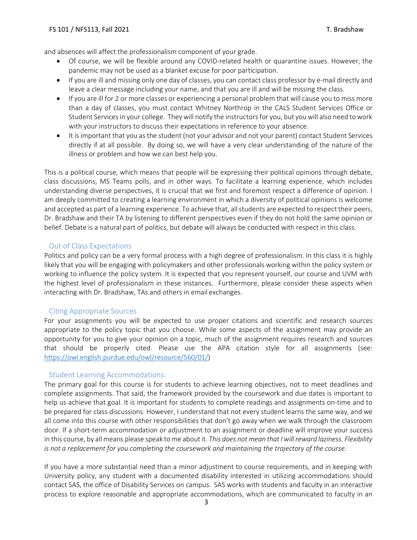and absences will affect the professionalism component of your grade.

- Of course, we will be flexible around any COVID-related health or quarantine issues. However, the pandemic may not be used as a blanket excuse for poor participation.
- If you are ill and missing only one day of classes, you can contact class professor by e-mail directly and leave a clear message including your name, and that you are ill and will be missing the class.
- If you are ill for 2 or more classes or experiencing a personal problem that will cause you to miss more than a day of classes, you must contact Whitney Northrop in the CALS Student Services Office or Student Services in your college. Theywill notify the instructors for you, but you will also need to work with your instructors to discuss their expectations in reference to your absence.
- It is important that you as the student (not your advisor and not your parent) contact Student Services directly if at all possible. By doing so, we will have a very clear understanding of the nature of the illness or problem and how we can best help you.

This is a political course, which means that people will be expressing their political opinions through debate, class discussions, MS Teams polls, and in other ways. To facilitate a learning experience, which includes understanding diverse perspectives, it is crucial that we first and foremost respect a difference of opinion. I am deeply committed to creating a learning environment in which a diversity of political opinions is welcome and accepted as part of a learning experience. To achieve that, all students are expected to respect their peers, Dr. Bradshaw and their TA by listening to different perspectives even if they do not hold the same opinion or belief. Debate is a natural part of politics, but debate will always be conducted with respect in this class.

## Out of Class Expectations

Politics and policy can be a very formal process with a high degree of professionalism. In this class it is highly likely that you will be engaging with policymakers and other professionals working within the policy system or working to influence the policy system. It is expected that you represent yourself, our course and UVM with the highest level of professionalism in these instances. Furthermore, please consider these aspects when interacting with Dr. Bradshaw, TAs and others in email exchanges.

#### Citing Appropriate Sources

For your assignments you will be expected to use proper citations and scientific and research sources appropriate to the policy topic that you choose. While some aspects of the assignment may provide an opportunity for you to give your opinion on a topic, much of the assignment requires research and sources that should be properly cited. Please use the APA citation style for all assignments (see: [https://owl.english.purdue.edu/owl/resource/560/01/\)](https://owl.english.purdue.edu/owl/resource/560/01/)

#### Student Learning Accommodations:

The primary goal for this course is for students to achieve learning objectives, not to meet deadlines and complete assignments. That said, the framework provided by the coursework and due dates is important to help us achieve that goal. It is important for students to complete readings and assignments on-time and to be prepared for class discussions. However, I understand that not every student learns the same way, and we all come into this course with other responsibilities that don't go away when we walk through the classroom door. If a short-term accommodation or adjustment to an assignment or deadline will improve your success in this course, by all means please speak to me about it. *This does not mean that I will reward laziness. Flexibility is not a replacement for you completing the coursework and maintaining the trajectory of the course.*

If you have a more substantial need than a minor adjustment to course requirements, and in keeping with University policy, any student with a documented disability interested in utilizing accommodations should contact SAS, the office of Disability Services on campus. SAS works with students and faculty in an interactive process to explore reasonable and appropriate accommodations, which are communicated to faculty in an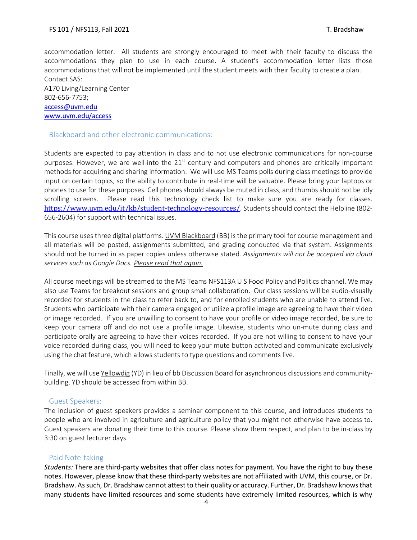accommodation letter. All students are strongly encouraged to meet with their faculty to discuss the accommodations they plan to use in each course. A student's accommodation letter lists those accommodations that will not be implemented until the student meets with their faculty to create a plan. Contact SAS:

A170 Living/Learning Center 802-656-7753; [access@uvm.edu](mailto:access@uvm.edu) [www.uvm.edu/access](http://www.uvm.edu/access)

#### Blackboard and other electronic communications:

Students are expected to pay attention in class and to not use electronic communications for non-course purposes. However, we are well-into the  $21<sup>st</sup>$  century and computers and phones are critically important methods for acquiring and sharing information. We will use MS Teams polls during class meetings to provide input on certain topics, so the ability to contribute in real-time will be valuable. Please bring your laptops or phones to use for these purposes. Cell phones should always be muted in class, and thumbs should not be idly scrolling screens. Please read this technology check list to make sure you are ready for classes. <https://www.uvm.edu/it/kb/student-technology-resources/>. Students should contact the Helpline (802-656-2604) for support with technical issues.

This course uses three digital platforms. UVM Blackboard (BB) is the primary tool for course management and all materials will be posted, assignments submitted, and grading conducted via that system. Assignments should not be turned in as paper copies unless otherwise stated. *Assignments will not be accepted via cloud services such as Google Docs. Please read that again.*

All course meetings will be streamed to the MS Teams NFS113A U S Food Policy and Politics channel. We may also use Teams for breakout sessions and group small collaboration. Our class sessions will be audio-visually recorded for students in the class to refer back to, and for enrolled students who are unable to attend live. Students who participate with their camera engaged or utilize a profile image are agreeing to have their video or image recorded. If you are unwilling to consent to have your profile or video image recorded, be sure to keep your camera off and do not use a profile image. Likewise, students who un-mute during class and participate orally are agreeing to have their voices recorded. If you are not willing to consent to have your voice recorded during class, you will need to keep your mute button activated and communicate exclusively using the chat feature, which allows students to type questions and comments live.

Finally, we will use Yellowdig (YD) in lieu of bb Discussion Board for asynchronous discussions and communitybuilding. YD should be accessed from within BB.

#### Guest Speakers:

The inclusion of guest speakers provides a seminar component to this course, and introduces students to people who are involved in agriculture and agriculture policy that you might not otherwise have access to. Guest speakers are donating their time to this course. Please show them respect, and plan to be in-class by 3:30 on guest lecturer days.

#### Paid Note-taking

*Students:* There are third-party websites that offer class notes for payment. You have the right to buy these notes. However, please know that these third-party websites are not affiliated with UVM, this course, or Dr. Bradshaw. As such, Dr. Bradshaw cannot attest to their quality or accuracy. Further, Dr. Bradshaw knows that many students have limited resources and some students have extremely limited resources, which is why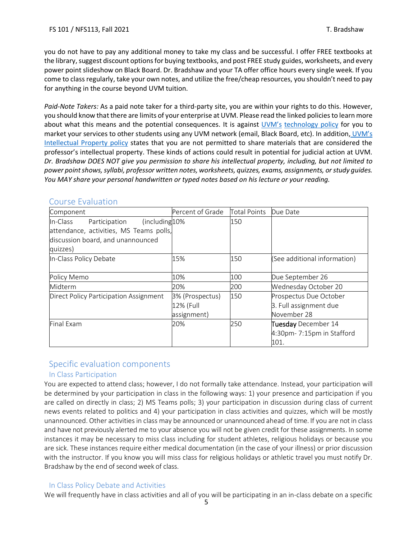you do not have to pay any additional money to take my class and be successful. I offer FREE textbooks at the library, suggest discount options for buying textbooks, and post FREE study guides, worksheets, and every power point slideshow on Black Board. Dr. Bradshaw and your TA offer office hours every single week. If you come to class regularly, take your own notes, and utilize the free/cheap resources, you shouldn't need to pay for anything in the course beyond UVM tuition.

*Paid-Note Takers:* As a paid note taker for a third-party site, you are within your rights to do this. However, you should know that there are limits of your enterprise at UVM. Please read the linked policies to learn more about what this means and the potential consequences. It is against [UVM's](http://www.uvm.edu/policies/cit/compuse.pdf) [technology policy](http://www.uvm.edu/policies/cit/compuse.pdf) for you to market your services to other students using any UVM network (email, Black Board, etc). In addition, [UVM's](http://www.uvm.edu/policies/general_html/intellectualproperty.pdf)  [Intellectual Property policy](http://www.uvm.edu/policies/general_html/intellectualproperty.pdf) states that you are not permitted to share materials that are considered the professor's intellectual property. These kinds of actions could result in potential for judicial action at UVM. *Dr. Bradshaw DOES NOT give you permission to share his intellectual property, including, but not limited to power point shows, syllabi, professor written notes, worksheets, quizzes, exams, assignments, or study guides. You MAY share your personal handwritten or typed notes based on his lecture or your reading.*

| Component                                   | Percent of Grade | <b>Total Points</b> | Due Date                     |
|---------------------------------------------|------------------|---------------------|------------------------------|
| (including 10%<br>Participation<br>In-Class |                  | 150                 |                              |
| attendance, activities, MS Teams polls,     |                  |                     |                              |
| discussion board, and unannounced           |                  |                     |                              |
| quizzes)                                    |                  |                     |                              |
| In-Class Policy Debate                      | 15%              | 150                 | (See additional information) |
|                                             |                  |                     |                              |
| Policy Memo                                 | 10%              | 100                 | Due September 26             |
| Midterm                                     | 20%              | 200                 | Wednesday October 20         |
| Direct Policy Participation Assignment      | 3% (Prospectus)  | 150                 | Prospectus Due October       |
|                                             | 12% (Full        |                     | 3. Full assignment due       |
|                                             | assignment)      |                     | November 28                  |
| Final Exam                                  | 20%              | 250                 | Tuesday December 14          |
|                                             |                  |                     | 4:30pm-7:15pm in Stafford    |
|                                             |                  |                     | 101.                         |

# Course Evaluation

# Specific evaluation components In Class Participation

You are expected to attend class; however, I do not formally take attendance. Instead, your participation will be determined by your participation in class in the following ways: 1) your presence and participation if you are called on directly in class; 2) MS Teams polls; 3) your participation in discussion during class of current news events related to politics and 4) your participation in class activities and quizzes, which will be mostly unannounced. Other activities in class may be announced or unannounced ahead of time. If you are not in class and have not previously alerted me to your absence you will not be given credit for these assignments. In some instances it may be necessary to miss class including for student athletes, religious holidays or because you are sick. These instances require either medical documentation (in the case of your illness) or prior discussion with the instructor. If you know you will miss class for religious holidays or athletic travel you must notify Dr. Bradshaw by the end of second week of class.

## In Class Policy Debate and Activities

We will frequently have in class activities and all of you will be participating in an in-class debate on a specific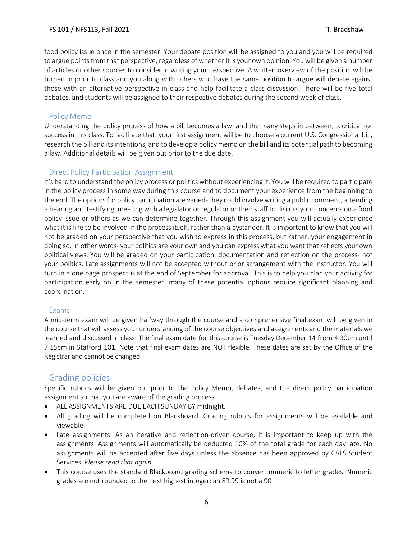food policy issue once in the semester. Your debate position will be assigned to you and you will be required to argue points from that perspective, regardless of whether it is your own opinion. You will be given a number of articles or other sources to consider in writing your perspective. A written overview of the position will be turned in prior to class and you along with others who have the same position to argue will debate against those with an alternative perspective in class and help facilitate a class discussion. There will be five total debates, and students will be assigned to their respective debates during the second week of class.

## Policy Memo

Understanding the policy process of how a bill becomes a law, and the many steps in between, is critical for success in this class. To facilitate that, your first assignment will be to choose a current U.S. Congressional bill, research the bill and its intentions, and to develop a policy memo on the bill and its potential path to becoming a law. Additional details will be given out prior to the due date.

## Direct Policy Participation Assignment

It's hard to understand the policy process or politics without experiencing it. You will be required to participate in the policy process in some way during this course and to document your experience from the beginning to the end. The options for policy participation are varied- they could involve writing a public comment, attending a hearing and testifying, meeting with a legislator or regulator or their staff to discuss your concerns on a food policy issue or others as we can determine together. Through this assignment you will actually experience what it is like to be involved in the process itself, rather than a bystander. It is important to know that you will not be graded on your perspective that you wish to express in this process, but rather, your engagement in doing so. In other words- your politics are your own and you can express what you want that reflects your own political views. You will be graded on your participation, documentation and reflection on the process- not your politics. Late assignments will not be accepted without prior arrangement with the Instructor. You will turn in a one page prospectus at the end of September for approval. This is to help you plan your activity for participation early on in the semester; many of these potential options require significant planning and coordination.

#### Exams

A mid-term exam will be given halfway through the course and a comprehensive final exam will be given in the course that will assess your understanding of the course objectives and assignments and the materials we learned and discussed in class. The final exam date for this course is Tuesday December 14 from 4:30pm until 7:15pm in Stafford 101. Note that final exam dates are NOT flexible. These dates are set by the Office of the Registrar and cannot be changed.

# Grading policies

Specific rubrics will be given out prior to the Policy Memo, debates, and the direct policy participation assignment so that you are aware of the grading process.

- ALL ASSIGNMENTS ARE DUE EACH SUNDAY BY midnight.
- All grading will be completed on Blackboard. Grading rubrics for assignments will be available and viewable.
- Late assignments: As an iterative and reflection-driven course, it is important to keep up with the assignments. Assignments will automatically be deducted 10% of the total grade for each day late. No assignments will be accepted after five days unless the absence has been approved by CALS Student Services. *Please read that again*.
- This course uses the standard Blackboard grading schema to convert numeric to letter grades. Numeric grades are not rounded to the next highest integer: an 89.99 is not a 90.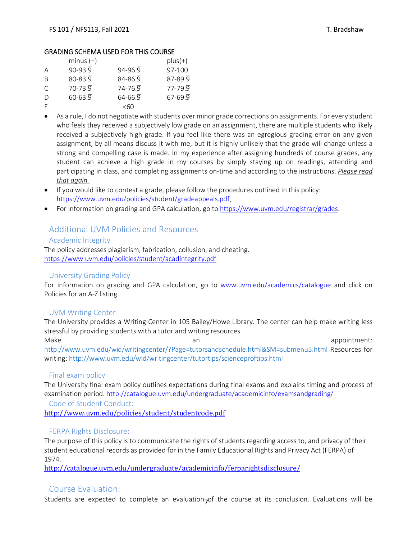#### GRADING SCHEMA USED FOR THIS COURSE

|              | minus $(-)$ |             | $plus(+)$   |
|--------------|-------------|-------------|-------------|
| A            | $90 - 93.9$ | $94 - 96.9$ | 97-100      |
| <sup>B</sup> | $80 - 83.9$ | $84 - 86.9$ | $87 - 89.9$ |
| $\subset$    | $70 - 73.9$ | $74 - 76.9$ | $77 - 79.9$ |
| D            | $60 - 63.9$ | $64 - 66.9$ | $67 - 69.9$ |
| F            |             | $<$ 60      |             |

- As a rule, I do not negotiate with students over minor grade corrections on assignments. For every student who feels they received a subjectively low grade on an assignment, there are multiple students who likely received a subjectively high grade. If you feel like there was an egregious grading error on any given assignment, by all means discuss it with me, but it is highly unlikely that the grade will change unless a strong and compelling case is made. In my experience after assigning hundreds of course grades, any student can achieve a high grade in my courses by simply staying up on readings, attending and participating in class, and completing assignments on-time and according to the instructions. *Please read that again.*
- If you would like to contest a grade, please follow the procedures outlined in this policy: [https://www.uvm.edu/policies/student/gradeappeals.pdf.](https://www.uvm.edu/policies/student/gradeappeals.pdf)
- For information on grading and GPA calculation, go to [https://www.uvm.edu/registrar/grades.](https://www.uvm.edu/registrar/grades)

# Additional UVM Policies and Resources

#### Academic Integrity

The policy addresses plagiarism, fabrication, collusion, and cheating. <https://www.uvm.edu/policies/student/acadintegrity.pdf>

## University Grading Policy

For information on grading and GPA calculation, go to [www.uvm.edu/academics/catalogue a](http://www.uvm.edu/academics/catalogue)nd click on Policies for an A-Z listing.

#### UVM Writing Center

The University provides a Writing Center in 105 Bailey/Howe Library. The center can help make writing less stressful by providing students with a tutor and writing resources.

Make an appointment: <http://www.uvm.edu/wid/writingcenter/?Page=tutorsandschedule.html&SM=submenu5.html> Resources for writing:<http://www.uvm.edu/wid/writingcenter/tutortips/scienceproftips.html>

#### Final exam policy

The University final exam policy outlines expectations during final exams and explains timing and process of examination period.<http://catalogue.uvm.edu/undergraduate/academicinfo/examsandgrading/>

Code of Student Conduct:

<http://www.uvm.edu/policies/student/studentcode.pdf>

## FERPA Rights Disclosure:

The purpose of this policy is to communicate the rights of students regarding access to, and privacy of their student educational records as provided for in the Family Educational Rights and Privacy Act (FERPA) of 1974.

<http://catalogue.uvm.edu/undergraduate/academicinfo/ferparightsdisclosure/>

# Course Evaluation:

Students are expected to complete an evaluation<sub>7</sub>of the course at its conclusion. Evaluations will be